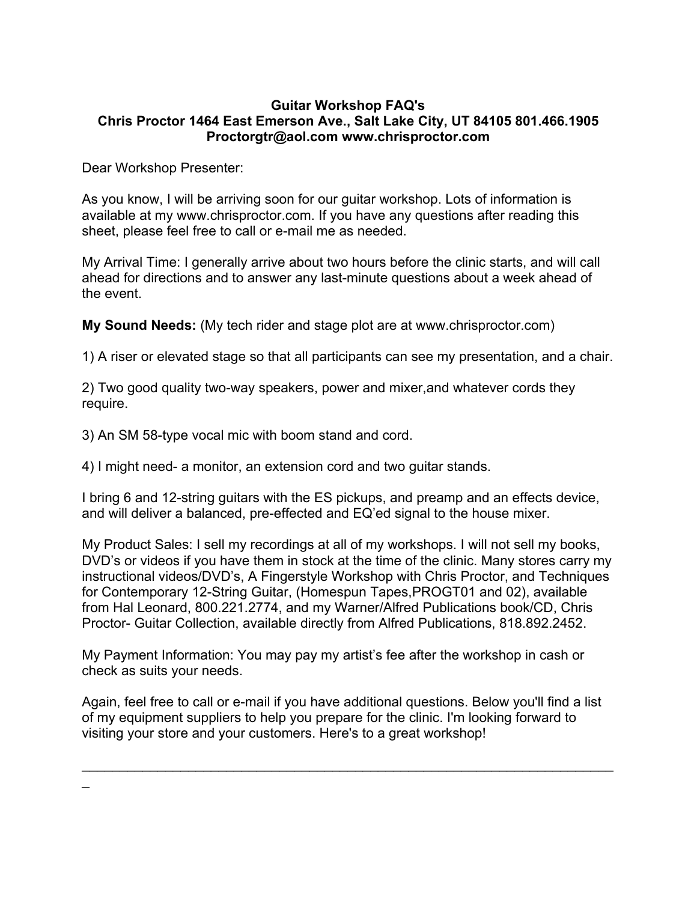## **Guitar Workshop FAQ's Chris Proctor 1464 East Emerson Ave., Salt Lake City, UT 84105 801.466.1905 Proctorgtr@aol.com www.chrisproctor.com**

Dear Workshop Presenter:

 $\overline{\phantom{a}}$ 

As you know, I will be arriving soon for our guitar workshop. Lots of information is available at my www.chrisproctor.com. If you have any questions after reading this sheet, please feel free to call or e-mail me as needed.

My Arrival Time: I generally arrive about two hours before the clinic starts, and will call ahead for directions and to answer any last-minute questions about a week ahead of the event.

**My Sound Needs:** (My tech rider and stage plot are at www.chrisproctor.com)

1) A riser or elevated stage so that all participants can see my presentation, and a chair.

2) Two good quality two-way speakers, power and mixer,and whatever cords they require.

3) An SM 58-type vocal mic with boom stand and cord.

4) I might need- a monitor, an extension cord and two guitar stands.

I bring 6 and 12-string guitars with the ES pickups, and preamp and an effects device, and will deliver a balanced, pre-effected and EQ'ed signal to the house mixer.

My Product Sales: I sell my recordings at all of my workshops. I will not sell my books, DVD's or videos if you have them in stock at the time of the clinic. Many stores carry my instructional videos/DVD's, A Fingerstyle Workshop with Chris Proctor, and Techniques for Contemporary 12-String Guitar, (Homespun Tapes,PROGT01 and 02), available from Hal Leonard, 800.221.2774, and my Warner/Alfred Publications book/CD, Chris Proctor- Guitar Collection, available directly from Alfred Publications, 818.892.2452.

My Payment Information: You may pay my artist's fee after the workshop in cash or check as suits your needs.

Again, feel free to call or e-mail if you have additional questions. Below you'll find a list of my equipment suppliers to help you prepare for the clinic. I'm looking forward to visiting your store and your customers. Here's to a great workshop!

 $\mathcal{L}_\text{max} = \mathcal{L}_\text{max} = \mathcal{L}_\text{max} = \mathcal{L}_\text{max} = \mathcal{L}_\text{max} = \mathcal{L}_\text{max} = \mathcal{L}_\text{max} = \mathcal{L}_\text{max} = \mathcal{L}_\text{max} = \mathcal{L}_\text{max} = \mathcal{L}_\text{max} = \mathcal{L}_\text{max} = \mathcal{L}_\text{max} = \mathcal{L}_\text{max} = \mathcal{L}_\text{max} = \mathcal{L}_\text{max} = \mathcal{L}_\text{max} = \mathcal{L}_\text{max} = \mathcal{$